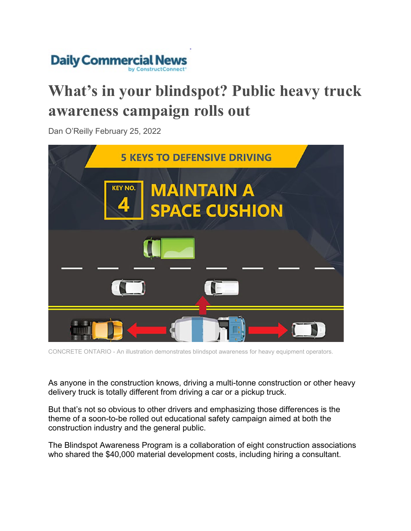

## **What's in your blindspot? Public heavy truck awareness campaign rolls out**

Dan O'Reilly February 25, 2022



CONCRETE ONTARIO - An illustration demonstrates blindspot awareness for heavy equipment operators.

As anyone in the construction knows, driving a multi-tonne construction or other heavy delivery truck is totally different from driving a car or a pickup truck.

But that's not so obvious to other drivers and emphasizing those differences is the theme of a soon-to-be rolled out educational safety campaign aimed at both the construction industry and the general public.

The Blindspot Awareness Program is a collaboration of eight construction associations who shared the \$40,000 material development costs, including hiring a consultant.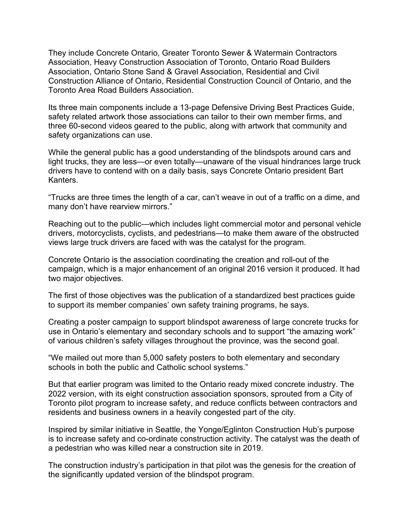They include Concrete Ontario, Greater Toronto Sewer & Watermain Contractors Association, Heavy Construction Association of Toronto, Ontario Road Builders Association, Ontario Stone Sand & Gravel Association, Residential and Civil Construction Alliance of Ontario, Residential Construction Council of Ontario, and the Toronto Area Road Builders Association.

Its three main components include a 13-page Defensive Driving Best Practices Guide, safety related artwork those associations can tailor to their own member firms, and three 60-second videos geared to the public, along with artwork that community and safety organizations can use.

While the general public has a good understanding of the blindspots around cars and light trucks, they are less—or even totally—unaware of the visual hindrances large truck drivers have to contend with on a daily basis, says Concrete Ontario president Bart Kanters.

"Trucks are three times the length of a car, can't weave in out of a traffic on a dime, and many don't have rearview mirrors."

Reaching out to the public—which includes light commercial motor and personal vehicle drivers, motorcyclists, cyclists, and pedestrians—to make them aware of the obstructed views large truck drivers are faced with was the catalyst for the program.

Concrete Ontario is the association coordinating the creation and roll-out of the campaign, which is a major enhancement of an original 2016 version it produced. It had two major objectives.

The first of those objectives was the publication of a standardized best practices guide to support its member companies' own safety training programs, he says.

Creating a poster campaign to support blindspot awareness of large concrete trucks for use in Ontario's elementary and secondary schools and to support "the amazing work" of various children's safety villages throughout the province, was the second goal.

"We mailed out more than 5,000 safety posters to both elementary and secondary schools in both the public and Catholic school systems."

But that earlier program was limited to the Ontario ready mixed concrete industry. The 2022 version, with its eight construction association sponsors, sprouted from a City of Toronto pilot program to increase safety, and reduce conflicts between contractors and residents and business owners in a heavily congested part of the city.

Inspired by similar initiative in Seattle, the Yonge/Eglinton Construction Hub's purpose is to increase safety and co-ordinate construction activity. The catalyst was the death of a pedestrian who was killed near a construction site in 2019.

The construction industry's participation in that pilot was the genesis for the creation of the significantly updated version of the blindspot program.